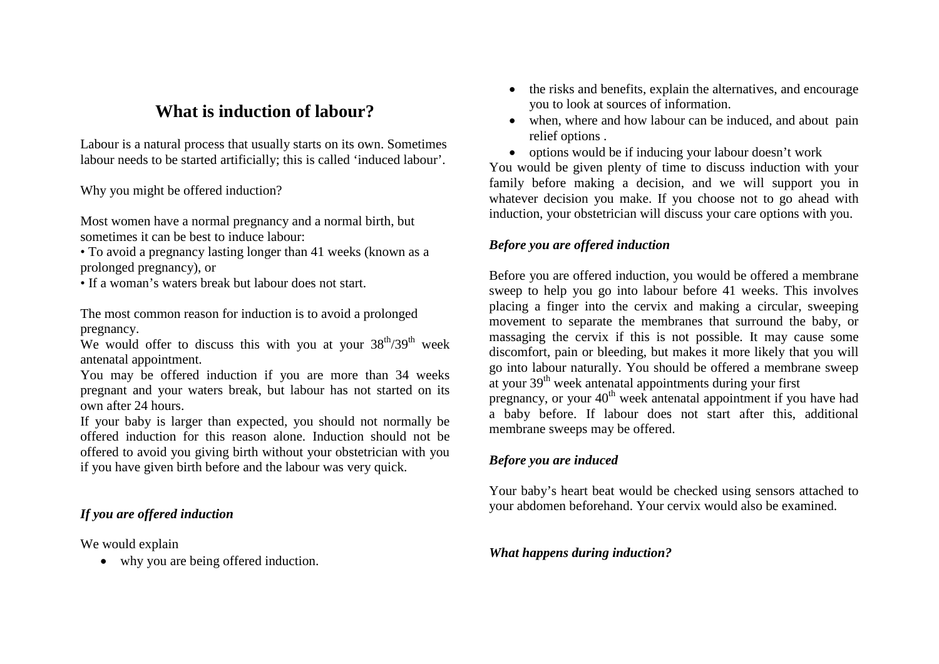# **What is induction of labour?**

Labour is a natural process that usually starts on its own. Sometimes labour needs to be started artificially; this is called 'induced labour'.

Why you might be offered induction?

Most women have a normal pregnancy and a normal birth, but sometimes it can be best to induce labour:

• To avoid a pregnancy lasting longer than 41 weeks (known as a prolonged pregnancy), or

• If a woman's waters break but labour does not start.

The most common reason for induction is to avoid a prolonged pregnancy.

We would offer to discuss this with you at your  $38<sup>th</sup>/39<sup>th</sup>$  week antenatal appointment.

You may be offered induction if you are more than 34 weeks pregnant and your waters break, but labour has not started on its own after 24 hours.

If your baby is larger than expected, you should not normally be offered induction for this reason alone. Induction should not be offered to avoid you giving birth without your obstetrician with you if you have given birth before and the labour was very quick.

# *If you are offered induction*

We would explain

• why you are being offered induction.

- the risks and benefits, explain the alternatives, and encourage you to look at sources of information.
- when, where and how labour can be induced, and about pain relief options .
- options would be if inducing your labour doesn't work

You would be given plenty of time to discuss induction with your family before making a decision, and we will support you in whatever decision you make. If you choose not to go ahead with induction, your obstetrician will discuss your care options with you.

## *Before you are offered induction*

Before you are offered induction, you would be offered a membrane sweep to help you go into labour before 41 weeks. This involves placing a finger into the cervix and making a circular, sweeping movement to separate the membranes that surround the baby, or massaging the cervix if this is not possible. It may cause some discomfort, pain or bleeding, but makes it more likely that you will go into labour naturally. You should be offered a membrane sweep at your  $39<sup>th</sup>$  week antenatal appointments during your first pregnancy, or your 40<sup>th</sup> week antenatal appointment if you have had a baby before. If labour does not start after this, additional membrane sweeps may be offered.

### *Before you are induced*

Your baby's heart beat would be checked using sensors attached to your abdomen beforehand. Your cervix would also be examined.

#### *What happens during induction?*